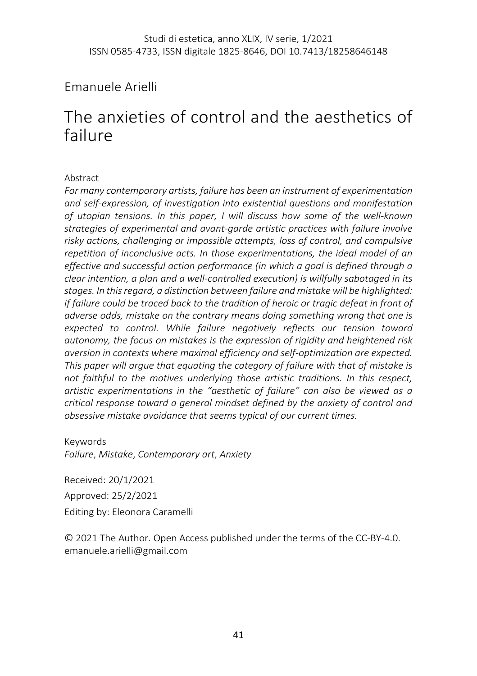# Emanuele Arielli

# The anxieties of control and the aesthetics of failure

#### Abstract

*For many contemporary artists, failure has been an instrument of experimentation and self-expression, of investigation into existential questions and manifestation of utopian tensions. In this paper, I will discuss how some of the well-known strategies of experimental and avant-garde artistic practices with failure involve risky actions, challenging or impossible attempts, loss of control, and compulsive repetition of inconclusive acts. In those experimentations, the ideal model of an effective and successful action performance (in which a goal is defined through a clear intention, a plan and a well-controlled execution) is willfully sabotaged in its stages. In this regard, a distinction between failure and mistake will be highlighted: if failure could be traced back to the tradition of heroic or tragic defeat in front of adverse odds, mistake on the contrary means doing something wrong that one is expected to control. While failure negatively reflects our tension toward autonomy, the focus on mistakes is the expression of rigidity and heightened risk aversion in contexts where maximal efficiency and self-optimization are expected. This paper will argue that equating the category of failure with that of mistake is not faithful to the motives underlying those artistic traditions. In this respect, artistic experimentations in the "aesthetic of failure" can also be viewed as a critical response toward a general mindset defined by the anxiety of control and obsessive mistake avoidance that seems typical of our current times.* 

Keywords *Failure*, *Mistake*, *Contemporary art*, *Anxiety*

Received: 20/1/2021 Approved: 25/2/2021 Editing by: Eleonora Caramelli

© 2021 The Author. Open Access published under the terms of the CC-BY-4.0. emanuele.arielli@gmail.com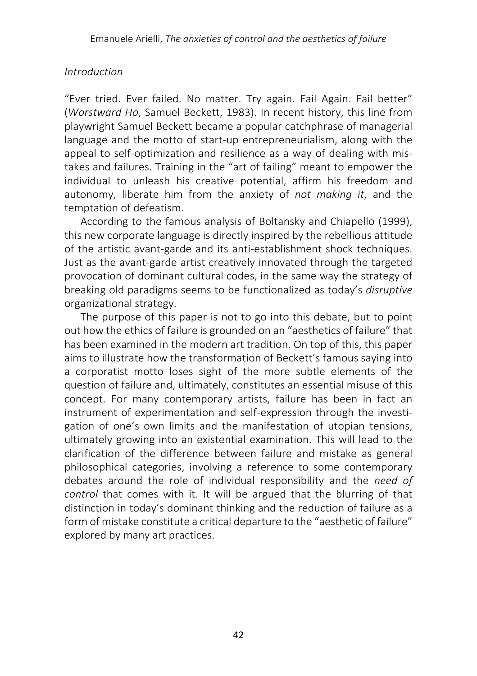#### *Introduction*

"Ever tried. Ever failed. No matter. Try again. Fail Again. Fail better" (*Worstward Ho*, Samuel Beckett, 1983). In recent history, this line from playwright Samuel Beckett became a popular catchphrase of managerial language and the motto of start-up entrepreneurialism, along with the appeal to self-optimization and resilience as a way of dealing with mistakes and failures. Training in the "art of failing" meant to empower the individual to unleash his creative potential, affirm his freedom and autonomy, liberate him from the anxiety of *not making it*, and the temptation of defeatism.

According to the famous analysis of Boltansky and Chiapello (1999), this new corporate language is directly inspired by the rebellious attitude of the artistic avant-garde and its anti-establishment shock techniques. Just as the avant-garde artist creatively innovated through the targeted provocation of dominant cultural codes, in the same way the strategy of breaking old paradigms seems to be functionalized as today's *disruptive* organizational strategy.

The purpose of this paper is not to go into this debate, but to point out how the ethics of failure is grounded on an "aesthetics of failure" that has been examined in the modern art tradition. On top of this, this paper aims to illustrate how the transformation of Beckett's famous saying into a corporatist motto loses sight of the more subtle elements of the question of failure and, ultimately, constitutes an essential misuse of this concept. For many contemporary artists, failure has been in fact an instrument of experimentation and self-expression through the investigation of one's own limits and the manifestation of utopian tensions, ultimately growing into an existential examination. This will lead to the clarification of the difference between failure and mistake as general philosophical categories, involving a reference to some contemporary debates around the role of individual responsibility and the *need of control* that comes with it. It will be argued that the blurring of that distinction in today's dominant thinking and the reduction of failure as a form of mistake constitute a critical departure to the "aesthetic of failure" explored by many art practices.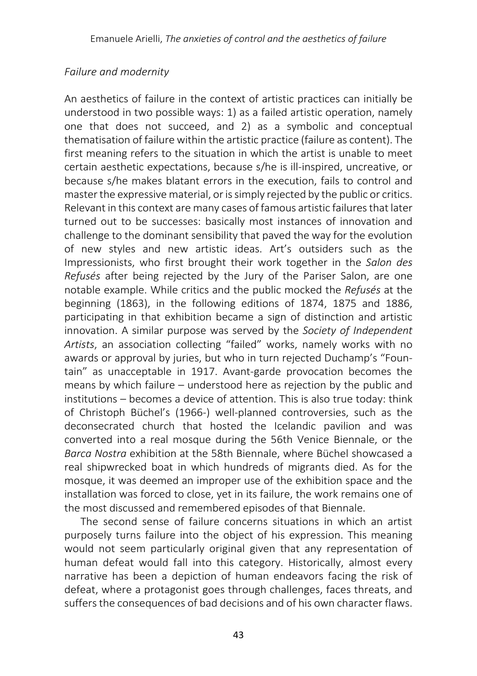#### *Failure and modernity*

An aesthetics of failure in the context of artistic practices can initially be understood in two possible ways: 1) as a failed artistic operation, namely one that does not succeed, and 2) as a symbolic and conceptual thematisation of failure within the artistic practice (failure as content). The first meaning refers to the situation in which the artist is unable to meet certain aesthetic expectations, because s/he is ill-inspired, uncreative, or because s/he makes blatant errors in the execution, fails to control and master the expressive material, or is simply rejected by the public or critics. Relevant in this context are many cases of famous artistic failures that later turned out to be successes: basically most instances of innovation and challenge to the dominant sensibility that paved the way for the evolution of new styles and new artistic ideas. Art's outsiders such as the Impressionists, who first brought their work together in the *Salon des Refusés* after being rejected by the Jury of the Pariser Salon, are one notable example. While critics and the public mocked the *Refusés* at the beginning (1863), in the following editions of 1874, 1875 and 1886, participating in that exhibition became a sign of distinction and artistic innovation. A similar purpose was served by the *Society of Independent Artists*, an association collecting "failed" works, namely works with no awards or approval by juries, but who in turn rejected Duchamp's "Fountain" as unacceptable in 1917. Avant-garde provocation becomes the means by which failure – understood here as rejection by the public and institutions – becomes a device of attention. This is also true today: think of Christoph Büchel's (1966-) well-planned controversies, such as the deconsecrated church that hosted the Icelandic pavilion and was converted into a real mosque during the 56th Venice Biennale, or the *Barca Nostra* exhibition at the 58th Biennale, where Büchel showcased a real shipwrecked boat in which hundreds of migrants died. As for the mosque, it was deemed an improper use of the exhibition space and the installation was forced to close, yet in its failure, the work remains one of the most discussed and remembered episodes of that Biennale.

The second sense of failure concerns situations in which an artist purposely turns failure into the object of his expression. This meaning would not seem particularly original given that any representation of human defeat would fall into this category. Historically, almost every narrative has been a depiction of human endeavors facing the risk of defeat, where a protagonist goes through challenges, faces threats, and suffers the consequences of bad decisions and of his own character flaws.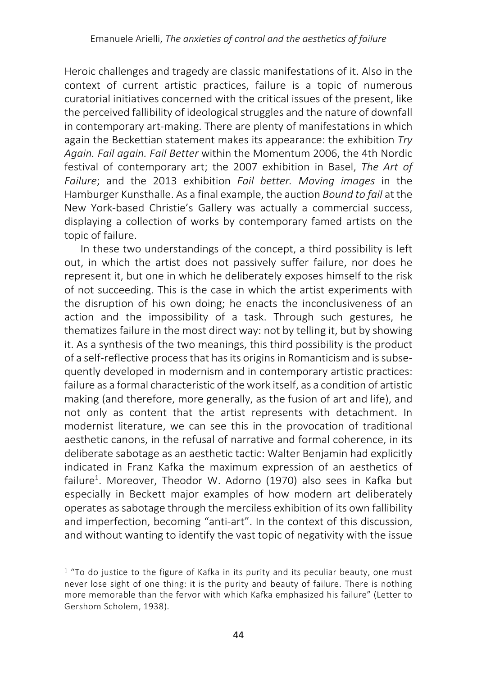Heroic challenges and tragedy are classic manifestations of it. Also in the context of current artistic practices, failure is a topic of numerous curatorial initiatives concerned with the critical issues of the present, like the perceived fallibility of ideological struggles and the nature of downfall in contemporary art-making. There are plenty of manifestations in which again the Beckettian statement makes its appearance: the exhibition *Try Again. Fail again. Fail Better* within the Momentum 2006, the 4th Nordic festival of contemporary art; the 2007 exhibition in Basel, *The Art of Failure*; and the 2013 exhibition *Fail better. Moving images* in the Hamburger Kunsthalle. As a final example, the auction *Bound to fail* at the New York-based Christie's Gallery was actually a commercial success, displaying a collection of works by contemporary famed artists on the topic of failure.

In these two understandings of the concept, a third possibility is left out, in which the artist does not passively suffer failure, nor does he represent it, but one in which he deliberately exposes himself to the risk of not succeeding. This is the case in which the artist experiments with the disruption of his own doing; he enacts the inconclusiveness of an action and the impossibility of a task. Through such gestures, he thematizes failure in the most direct way: not by telling it, but by showing it. As a synthesis of the two meanings, this third possibility is the product of a self-reflective process that has its origins in Romanticism and is subsequently developed in modernism and in contemporary artistic practices: failure as a formal characteristic of the work itself, as a condition of artistic making (and therefore, more generally, as the fusion of art and life), and not only as content that the artist represents with detachment. In modernist literature, we can see this in the provocation of traditional aesthetic canons, in the refusal of narrative and formal coherence, in its deliberate sabotage as an aesthetic tactic: Walter Benjamin had explicitly indicated in Franz Kafka the maximum expression of an aesthetics of failure<sup>1</sup>. Moreover, Theodor W. Adorno (1970) also sees in Kafka but especially in Beckett major examples of how modern art deliberately operates assabotage through the merciless exhibition of its own fallibility and imperfection, becoming "anti-art". In the context of this discussion, and without wanting to identify the vast topic of negativity with the issue

 $1$  "To do justice to the figure of Kafka in its purity and its peculiar beauty, one must never lose sight of one thing: it is the purity and beauty of failure. There is nothing more memorable than the fervor with which Kafka emphasized his failure" (Letter to Gershom Scholem, 1938).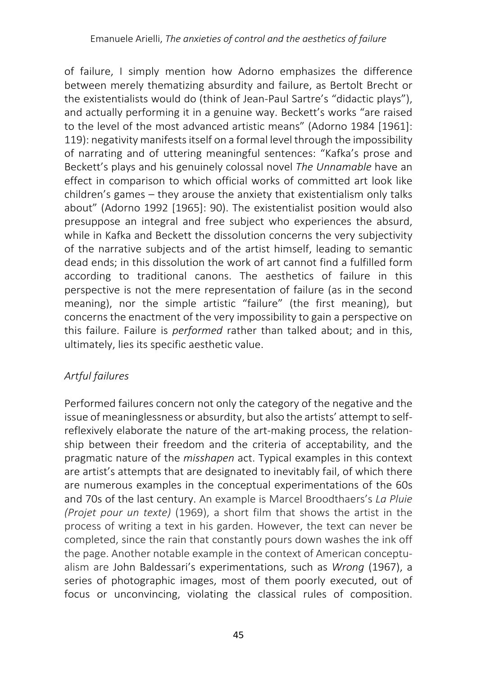of failure, I simply mention how Adorno emphasizes the difference between merely thematizing absurdity and failure, as Bertolt Brecht or the existentialists would do (think of Jean-Paul Sartre's "didactic plays"), and actually performing it in a genuine way. Beckett's works "are raised to the level of the most advanced artistic means" (Adorno 1984 [1961]: 119): negativity manifests itself on a formal level through the impossibility of narrating and of uttering meaningful sentences: "Kafka's prose and Beckett's plays and his genuinely colossal novel *The Unnamable* have an effect in comparison to which official works of committed art look like children's games – they arouse the anxiety that existentialism only talks about" (Adorno 1992 [1965]: 90). The existentialist position would also presuppose an integral and free subject who experiences the absurd, while in Kafka and Beckett the dissolution concerns the very subjectivity of the narrative subjects and of the artist himself, leading to semantic dead ends; in this dissolution the work of art cannot find a fulfilled form according to traditional canons. The aesthetics of failure in this perspective is not the mere representation of failure (as in the second meaning), nor the simple artistic "failure" (the first meaning), but concerns the enactment of the very impossibility to gain a perspective on this failure. Failure is *performed* rather than talked about; and in this, ultimately, lies its specific aesthetic value.

## *Artful failures*

Performed failures concern not only the category of the negative and the issue of meaninglessness or absurdity, but also the artists' attempt to selfreflexively elaborate the nature of the art-making process, the relationship between their freedom and the criteria of acceptability, and the pragmatic nature of the *misshapen* act. Typical examples in this context are artist's attempts that are designated to inevitably fail, of which there are numerous examples in the conceptual experimentations of the 60s and 70s of the last century. An example is Marcel Broodthaers's *La Pluie (Projet pour un texte)* (1969), a short film that shows the artist in the process of writing a text in his garden. However, the text can never be completed, since the rain that constantly pours down washes the ink off the page. Another notable example in the context of American conceptualism are John Baldessari's experimentations, such as *Wrong* (1967), a series of photographic images, most of them poorly executed, out of focus or unconvincing, violating the classical rules of composition.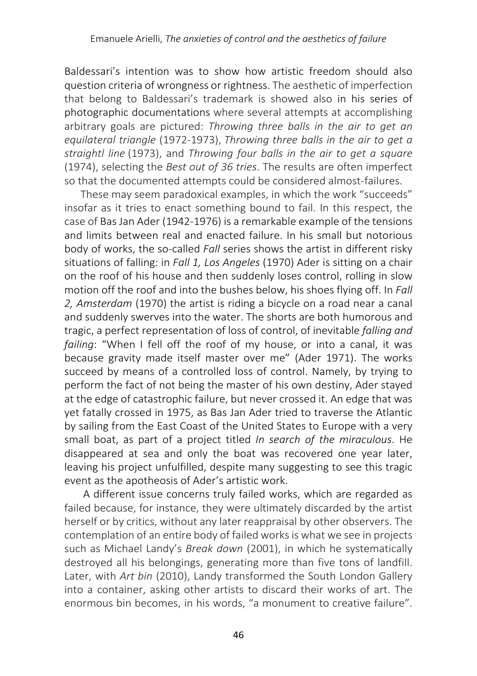Baldessari's intention was to show how artistic freedom should also question criteria of wrongness or rightness. The aesthetic of imperfection that belong to Baldessari's trademark is showed also in his series of photographic documentations where several attempts at accomplishing arbitrary goals are pictured: *Throwing three balls in the air to get an equilateral triangle* (1972-1973), *Throwing three balls in the air to get a straightl line* (1973), and *Throwing four balls in the air to get a square* (1974), selecting the *Best out of 36 tries*. The results are often imperfect so that the documented attempts could be considered almost-failures.

These may seem paradoxical examples, in which the work "succeeds" insofar as it tries to enact something bound to fail. In this respect, the case of Bas Jan Ader (1942-1976) is a remarkable example of the tensions and limits between real and enacted failure. In his small but notorious body of works, the so-called *Fall* series shows the artist in different risky situations of falling: in *Fall 1, Los Angeles* (1970) Ader is sitting on a chair on the roof of his house and then suddenly loses control, rolling in slow motion off the roof and into the bushes below, his shoes flying off. In *Fall 2, Amsterdam* (1970) the artist is riding a bicycle on a road near a canal and suddenly swerves into the water. The shorts are both humorous and tragic, a perfect representation of loss of control, of inevitable *falling and failing*: "When I fell off the roof of my house, or into a canal, it was because gravity made itself master over me" (Ader 1971). The works succeed by means of a controlled loss of control. Namely, by trying to perform the fact of not being the master of his own destiny, Ader stayed at the edge of catastrophic failure, but never crossed it. An edge that was yet fatally crossed in 1975, as Bas Jan Ader tried to traverse the Atlantic by sailing from the East Coast of the United States to Europe with a very small boat, as part of a project titled *In search of the miraculous*. He disappeared at sea and only the boat was recovered one year later, leaving his project unfulfilled, despite many suggesting to see this tragic event as the apotheosis of Ader's artistic work.

A different issue concerns truly failed works, which are regarded as failed because, for instance, they were ultimately discarded by the artist herself or by critics, without any later reappraisal by other observers. The contemplation of an entire body of failed works is what we see in projects such as Michael Landy's *Break down* (2001), in which he systematically destroyed all his belongings, generating more than five tons of landfill. Later, with *Art bin* (2010), Landy transformed the South London Gallery into a container, asking other artists to discard their works of art. The enormous bin becomes, in his words, "a monument to creative failure".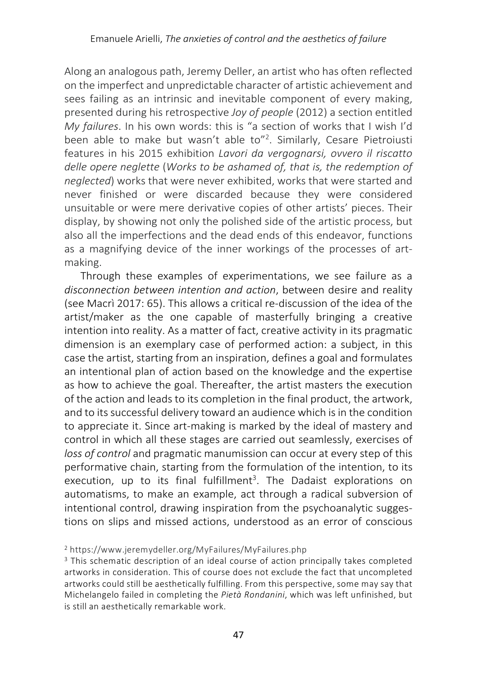Along an analogous path, Jeremy Deller, an artist who has often reflected on the imperfect and unpredictable character of artistic achievement and sees failing as an intrinsic and inevitable component of every making, presented during his retrospective *Joy of people* (2012) a section entitled *My failures*. In his own words: this is "a section of works that I wish I'd been able to make but wasn't able to"<sup>2</sup>. Similarly, Cesare Pietroiusti features in his 2015 exhibition *Lavori da vergognarsi, ovvero il riscatto delle opere neglette* (*Works to be ashamed of, that is, the redemption of neglected*) works that were never exhibited, works that were started and never finished or were discarded because they were considered unsuitable or were mere derivative copies of other artists' pieces. Their display, by showing not only the polished side of the artistic process, but also all the imperfections and the dead ends of this endeavor, functions as a magnifying device of the inner workings of the processes of artmaking.

Through these examples of experimentations, we see failure as a *disconnection between intention and action*, between desire and reality (see Macrì 2017: 65). This allows a critical re-discussion of the idea of the artist/maker as the one capable of masterfully bringing a creative intention into reality. As a matter of fact, creative activity in its pragmatic dimension is an exemplary case of performed action: a subject, in this case the artist, starting from an inspiration, defines a goal and formulates an intentional plan of action based on the knowledge and the expertise as how to achieve the goal. Thereafter, the artist masters the execution of the action and leads to its completion in the final product, the artwork, and to its successful delivery toward an audience which is in the condition to appreciate it. Since art-making is marked by the ideal of mastery and control in which all these stages are carried out seamlessly, exercises of *loss of control* and pragmatic manumission can occur at every step of this performative chain, starting from the formulation of the intention, to its execution, up to its final fulfillment<sup>3</sup>. The Dadaist explorations on automatisms, to make an example, act through a radical subversion of intentional control, drawing inspiration from the psychoanalytic suggestions on slips and missed actions, understood as an error of conscious

<sup>2</sup> https://www.jeremydeller.org/MyFailures/MyFailures.php

<sup>&</sup>lt;sup>3</sup> This schematic description of an ideal course of action principally takes completed artworks in consideration. This of course does not exclude the fact that uncompleted artworks could still be aesthetically fulfilling. From this perspective, some may say that Michelangelo failed in completing the *Pietà Rondanini*, which was left unfinished, but is still an aesthetically remarkable work.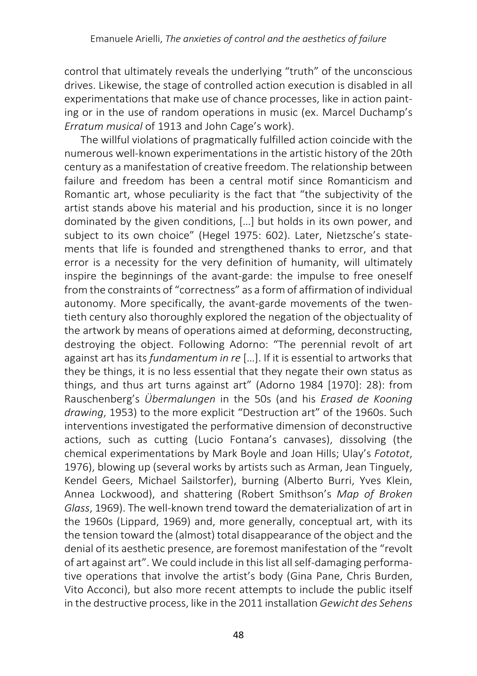control that ultimately reveals the underlying "truth" of the unconscious drives. Likewise, the stage of controlled action execution is disabled in all experimentations that make use of chance processes, like in action painting or in the use of random operations in music (ex. Marcel Duchamp's *Erratum musical* of 1913 and John Cage's work).

The willful violations of pragmatically fulfilled action coincide with the numerous well-known experimentations in the artistic history of the 20th century as a manifestation of creative freedom. The relationship between failure and freedom has been a central motif since Romanticism and Romantic art, whose peculiarity is the fact that "the subjectivity of the artist stands above his material and his production, since it is no longer dominated by the given conditions, […] but holds in its own power, and subject to its own choice" (Hegel 1975: 602). Later, Nietzsche's statements that life is founded and strengthened thanks to error, and that error is a necessity for the very definition of humanity, will ultimately inspire the beginnings of the avant-garde: the impulse to free oneself from the constraints of "correctness" as a form of affirmation of individual autonomy. More specifically, the avant-garde movements of the twentieth century also thoroughly explored the negation of the objectuality of the artwork by means of operations aimed at deforming, deconstructing, destroying the object. Following Adorno: "The perennial revolt of art against art has its *fundamentum in re* […]. If it is essential to artworks that they be things, it is no less essential that they negate their own status as things, and thus art turns against art" (Adorno 1984 [1970]: 28): from Rauschenberg's *Übermalungen* in the 50s (and his *Erased de Kooning drawing*, 1953) to the more explicit "Destruction art" of the 1960s. Such interventions investigated the performative dimension of deconstructive actions, such as cutting (Lucio Fontana's canvases), dissolving (the chemical experimentations by Mark Boyle and Joan Hills; Ulay's *Fototot*, 1976), blowing up (several works by artists such as Arman, Jean Tinguely, Kendel Geers, Michael Sailstorfer), burning (Alberto Burri, Yves Klein, Annea Lockwood), and shattering (Robert Smithson's *Map of Broken Glass*, 1969). The well-known trend toward the dematerialization of art in the 1960s (Lippard, 1969) and, more generally, conceptual art, with its the tension toward the (almost) total disappearance of the object and the denial of its aesthetic presence, are foremost manifestation of the "revolt of art against art". We could include in this list all self-damaging performative operations that involve the artist's body (Gina Pane, Chris Burden, Vito Acconci), but also more recent attempts to include the public itself in the destructive process, like in the 2011 installation *Gewicht des Sehens*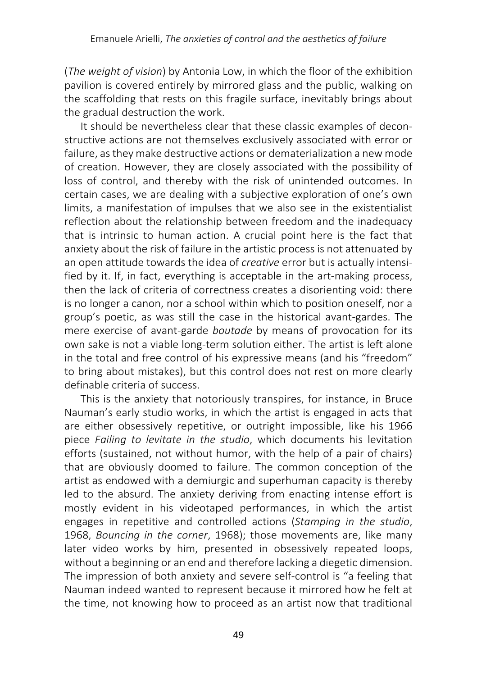(*The weight of vision*) by Antonia Low, in which the floor of the exhibition pavilion is covered entirely by mirrored glass and the public, walking on the scaffolding that rests on this fragile surface, inevitably brings about the gradual destruction the work.

It should be nevertheless clear that these classic examples of deconstructive actions are not themselves exclusively associated with error or failure, as they make destructive actions or dematerialization a new mode of creation. However, they are closely associated with the possibility of loss of control, and thereby with the risk of unintended outcomes. In certain cases, we are dealing with a subjective exploration of one's own limits, a manifestation of impulses that we also see in the existentialist reflection about the relationship between freedom and the inadequacy that is intrinsic to human action. A crucial point here is the fact that anxiety about the risk of failure in the artistic process is not attenuated by an open attitude towards the idea of *creative* error but is actually intensified by it. If, in fact, everything is acceptable in the art-making process, then the lack of criteria of correctness creates a disorienting void: there is no longer a canon, nor a school within which to position oneself, nor a group's poetic, as was still the case in the historical avant-gardes. The mere exercise of avant-garde *boutade* by means of provocation for its own sake is not a viable long-term solution either. The artist is left alone in the total and free control of his expressive means (and his "freedom" to bring about mistakes), but this control does not rest on more clearly definable criteria of success.

This is the anxiety that notoriously transpires, for instance, in Bruce Nauman's early studio works, in which the artist is engaged in acts that are either obsessively repetitive, or outright impossible, like his 1966 piece *Failing to levitate in the studio*, which documents his levitation efforts (sustained, not without humor, with the help of a pair of chairs) that are obviously doomed to failure. The common conception of the artist as endowed with a demiurgic and superhuman capacity is thereby led to the absurd. The anxiety deriving from enacting intense effort is mostly evident in his videotaped performances, in which the artist engages in repetitive and controlled actions (*Stamping in the studio*, 1968, *Bouncing in the corner*, 1968); those movements are, like many later video works by him, presented in obsessively repeated loops, without a beginning or an end and therefore lacking a diegetic dimension. The impression of both anxiety and severe self-control is "a feeling that Nauman indeed wanted to represent because it mirrored how he felt at the time, not knowing how to proceed as an artist now that traditional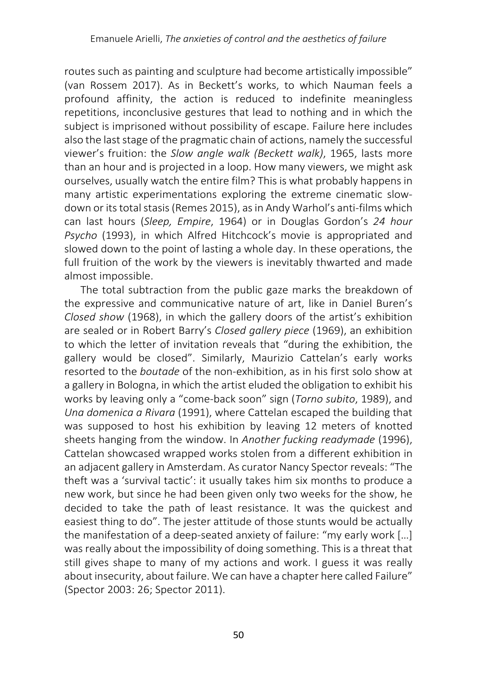routes such as painting and sculpture had become artistically impossible" (van Rossem 2017). As in Beckett's works, to which Nauman feels a profound affinity, the action is reduced to indefinite meaningless repetitions, inconclusive gestures that lead to nothing and in which the subject is imprisoned without possibility of escape. Failure here includes also the last stage of the pragmatic chain of actions, namely the successful viewer's fruition: the *Slow angle walk (Beckett walk)*, 1965, lasts more than an hour and is projected in a loop. How many viewers, we might ask ourselves, usually watch the entire film? This is what probably happens in many artistic experimentations exploring the extreme cinematic slowdown or its total stasis (Remes 2015), as in Andy Warhol's anti-films which can last hours (*Sleep, Empire*, 1964) or in Douglas Gordon's *24 hour Psycho* (1993), in which Alfred Hitchcock's movie is appropriated and slowed down to the point of lasting a whole day. In these operations, the full fruition of the work by the viewers is inevitably thwarted and made almost impossible.

The total subtraction from the public gaze marks the breakdown of the expressive and communicative nature of art, like in Daniel Buren's *Closed show* (1968), in which the gallery doors of the artist's exhibition are sealed or in Robert Barry's *Closed gallery piece* (1969), an exhibition to which the letter of invitation reveals that "during the exhibition, the gallery would be closed". Similarly, Maurizio Cattelan's early works resorted to the *boutade* of the non-exhibition, as in his first solo show at a gallery in Bologna, in which the artist eluded the obligation to exhibit his works by leaving only a "come-back soon" sign (*Torno subito*, 1989), and *Una domenica a Rivara* (1991), where Cattelan escaped the building that was supposed to host his exhibition by leaving 12 meters of knotted sheets hanging from the window. In *Another fucking readymade* (1996), Cattelan showcased wrapped works stolen from a different exhibition in an adjacent gallery in Amsterdam. As curator Nancy Spector reveals: "The theft was a 'survival tactic': it usually takes him six months to produce a new work, but since he had been given only two weeks for the show, he decided to take the path of least resistance. It was the quickest and easiest thing to do". The jester attitude of those stunts would be actually the manifestation of a deep-seated anxiety of failure: "my early work […] was really about the impossibility of doing something. This is a threat that still gives shape to many of my actions and work. I guess it was really about insecurity, about failure. We can have a chapter here called Failure" (Spector 2003: 26; Spector 2011).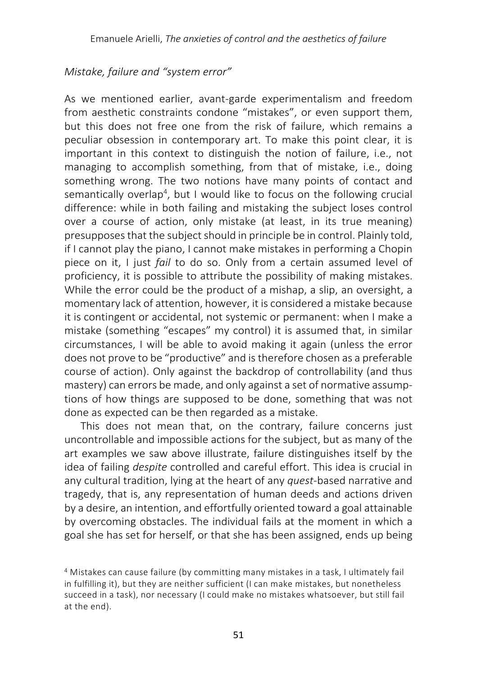#### *Mistake, failure and "system error"*

As we mentioned earlier, avant-garde experimentalism and freedom from aesthetic constraints condone "mistakes", or even support them, but this does not free one from the risk of failure, which remains a peculiar obsession in contemporary art. To make this point clear, it is important in this context to distinguish the notion of failure, i.e., not managing to accomplish something, from that of mistake, i.e., doing something wrong. The two notions have many points of contact and semantically overlap<sup>4</sup>, but I would like to focus on the following crucial difference: while in both failing and mistaking the subject loses control over a course of action, only mistake (at least, in its true meaning) presupposesthat the subject should in principle be in control. Plainly told, if I cannot play the piano, I cannot make mistakes in performing a Chopin piece on it, I just *fail* to do so. Only from a certain assumed level of proficiency, it is possible to attribute the possibility of making mistakes. While the error could be the product of a mishap, a slip, an oversight, a momentary lack of attention, however, it is considered a mistake because it is contingent or accidental, not systemic or permanent: when I make a mistake (something "escapes" my control) it is assumed that, in similar circumstances, I will be able to avoid making it again (unless the error does not prove to be "productive" and is therefore chosen as a preferable course of action). Only against the backdrop of controllability (and thus mastery) can errors be made, and only against a set of normative assumptions of how things are supposed to be done, something that was not done as expected can be then regarded as a mistake.

This does not mean that, on the contrary, failure concerns just uncontrollable and impossible actions for the subject, but as many of the art examples we saw above illustrate, failure distinguishes itself by the idea of failing *despite* controlled and careful effort. This idea is crucial in any cultural tradition, lying at the heart of any *quest*-based narrative and tragedy, that is, any representation of human deeds and actions driven by a desire, an intention, and effortfully oriented toward a goal attainable by overcoming obstacles. The individual fails at the moment in which a goal she has set for herself, or that she has been assigned, ends up being

<sup>&</sup>lt;sup>4</sup> Mistakes can cause failure (by committing many mistakes in a task, I ultimately fail in fulfilling it), but they are neither sufficient (I can make mistakes, but nonetheless succeed in a task), nor necessary (I could make no mistakes whatsoever, but still fail at the end).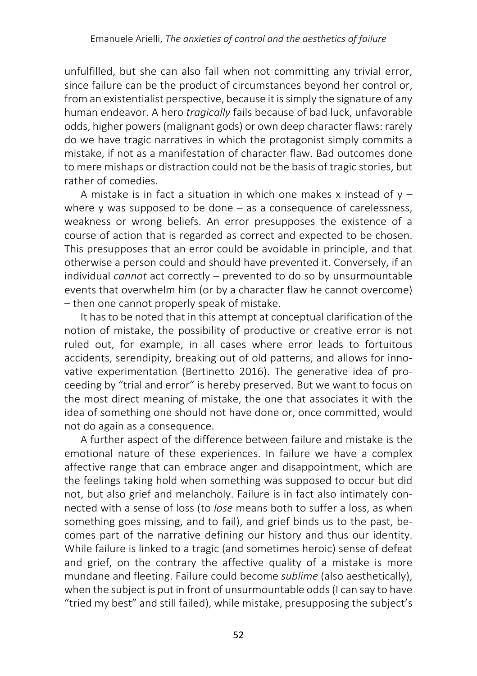unfulfilled, but she can also fail when not committing any trivial error, since failure can be the product of circumstances beyond her control or, from an existentialist perspective, because it is simply the signature of any human endeavor. A hero *tragically* fails because of bad luck, unfavorable odds, higher powers(malignant gods) or own deep character flaws: rarely do we have tragic narratives in which the protagonist simply commits a mistake, if not as a manifestation of character flaw. Bad outcomes done to mere mishaps or distraction could not be the basis of tragic stories, but rather of comedies.

A mistake is in fact a situation in which one makes x instead of  $y$ where y was supposed to be done – as a consequence of carelessness, weakness or wrong beliefs. An error presupposes the existence of a course of action that is regarded as correct and expected to be chosen. This presupposes that an error could be avoidable in principle, and that otherwise a person could and should have prevented it. Conversely, if an individual *cannot* act correctly – prevented to do so by unsurmountable events that overwhelm him (or by a character flaw he cannot overcome) – then one cannot properly speak of mistake.

It has to be noted that in this attempt at conceptual clarification of the notion of mistake, the possibility of productive or creative error is not ruled out, for example, in all cases where error leads to fortuitous accidents, serendipity, breaking out of old patterns, and allows for innovative experimentation (Bertinetto 2016). The generative idea of proceeding by "trial and error" is hereby preserved. But we want to focus on the most direct meaning of mistake, the one that associates it with the idea of something one should not have done or, once committed, would not do again as a consequence.

A further aspect of the difference between failure and mistake is the emotional nature of these experiences. In failure we have a complex affective range that can embrace anger and disappointment, which are the feelings taking hold when something was supposed to occur but did not, but also grief and melancholy. Failure is in fact also intimately connected with a sense of loss (to *lose* means both to suffer a loss, as when something goes missing, and to fail), and grief binds us to the past, becomes part of the narrative defining our history and thus our identity. While failure is linked to a tragic (and sometimes heroic) sense of defeat and grief, on the contrary the affective quality of a mistake is more mundane and fleeting. Failure could become *sublime* (also aesthetically), when the subject is put in front of unsurmountable odds (I can say to have "tried my best" and still failed), while mistake, presupposing the subject's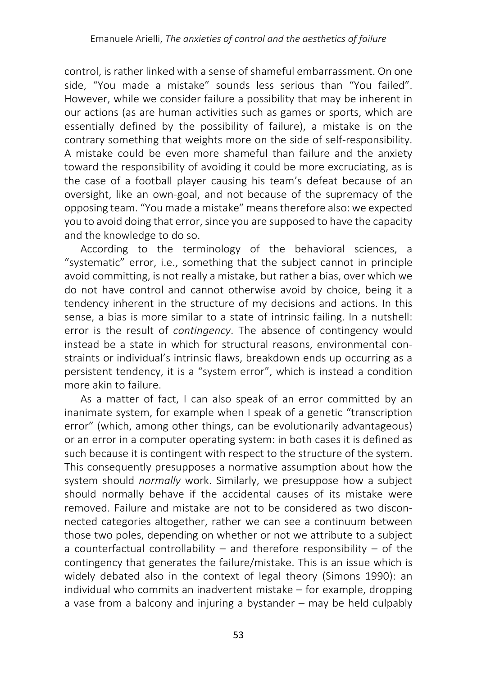control, is rather linked with a sense of shameful embarrassment. On one side, "You made a mistake" sounds less serious than "You failed". However, while we consider failure a possibility that may be inherent in our actions (as are human activities such as games or sports, which are essentially defined by the possibility of failure), a mistake is on the contrary something that weights more on the side of self-responsibility. A mistake could be even more shameful than failure and the anxiety toward the responsibility of avoiding it could be more excruciating, as is the case of a football player causing his team's defeat because of an oversight, like an own-goal, and not because of the supremacy of the opposing team. "You made a mistake" means therefore also: we expected you to avoid doing that error, since you are supposed to have the capacity and the knowledge to do so.

According to the terminology of the behavioral sciences, a "systematic" error, i.e., something that the subject cannot in principle avoid committing, is not really a mistake, but rather a bias, over which we do not have control and cannot otherwise avoid by choice, being it a tendency inherent in the structure of my decisions and actions. In this sense, a bias is more similar to a state of intrinsic failing. In a nutshell: error is the result of *contingency*. The absence of contingency would instead be a state in which for structural reasons, environmental constraints or individual's intrinsic flaws, breakdown ends up occurring as a persistent tendency, it is a "system error", which is instead a condition more akin to failure.

As a matter of fact, I can also speak of an error committed by an inanimate system, for example when I speak of a genetic "transcription error" (which, among other things, can be evolutionarily advantageous) or an error in a computer operating system: in both cases it is defined as such because it is contingent with respect to the structure of the system. This consequently presupposes a normative assumption about how the system should *normally* work. Similarly, we presuppose how a subject should normally behave if the accidental causes of its mistake were removed. Failure and mistake are not to be considered as two disconnected categories altogether, rather we can see a continuum between those two poles, depending on whether or not we attribute to a subject a counterfactual controllability – and therefore responsibility – of the contingency that generates the failure/mistake. This is an issue which is widely debated also in the context of legal theory (Simons 1990): an individual who commits an inadvertent mistake – for example, dropping a vase from a balcony and injuring a bystander – may be held culpably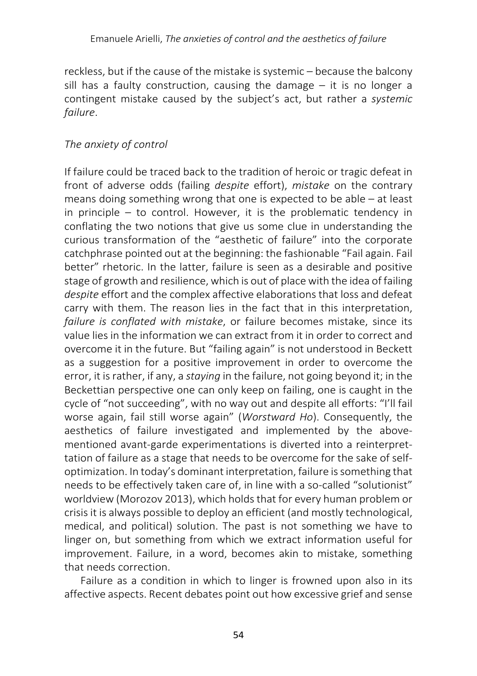reckless, but if the cause of the mistake is systemic – because the balcony sill has a faulty construction, causing the damage – it is no longer a contingent mistake caused by the subject's act, but rather a *systemic failure*.

### *The anxiety of control*

If failure could be traced back to the tradition of heroic or tragic defeat in front of adverse odds (failing *despite* effort), *mistake* on the contrary means doing something wrong that one is expected to be able – at least in principle – to control. However, it is the problematic tendency in conflating the two notions that give us some clue in understanding the curious transformation of the "aesthetic of failure" into the corporate catchphrase pointed out at the beginning: the fashionable "Fail again. Fail better" rhetoric. In the latter, failure is seen as a desirable and positive stage of growth and resilience, which is out of place with the idea of failing *despite* effort and the complex affective elaborations that loss and defeat carry with them. The reason lies in the fact that in this interpretation, *failure is conflated with mistake*, or failure becomes mistake, since its value lies in the information we can extract from it in order to correct and overcome it in the future. But "failing again" is not understood in Beckett as a suggestion for a positive improvement in order to overcome the error, it is rather, if any, a *staying* in the failure, not going beyond it; in the Beckettian perspective one can only keep on failing, one is caught in the cycle of "not succeeding", with no way out and despite all efforts: "I'll fail worse again, fail still worse again" (*Worstward Ho*). Consequently, the aesthetics of failure investigated and implemented by the abovementioned avant-garde experimentations is diverted into a reinterprettation of failure as a stage that needs to be overcome for the sake of selfoptimization. In today's dominant interpretation, failure is something that needs to be effectively taken care of, in line with a so-called "solutionist" worldview (Morozov 2013), which holds that for every human problem or crisis it is always possible to deploy an efficient (and mostly technological, medical, and political) solution. The past is not something we have to linger on, but something from which we extract information useful for improvement. Failure, in a word, becomes akin to mistake, something that needs correction.

Failure as a condition in which to linger is frowned upon also in its affective aspects. Recent debates point out how excessive grief and sense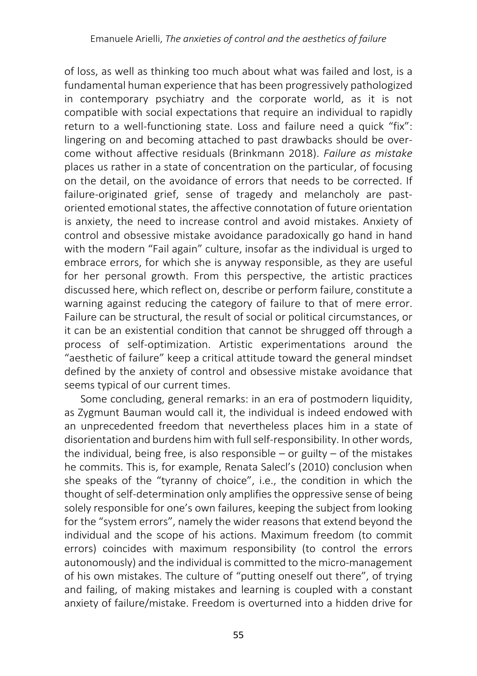of loss, as well as thinking too much about what was failed and lost, is a fundamental human experience that has been progressively pathologized in contemporary psychiatry and the corporate world, as it is not compatible with social expectations that require an individual to rapidly return to a well-functioning state. Loss and failure need a quick "fix": lingering on and becoming attached to past drawbacks should be overcome without affective residuals (Brinkmann 2018). *Failure as mistake* places us rather in a state of concentration on the particular, of focusing on the detail, on the avoidance of errors that needs to be corrected. If failure-originated grief, sense of tragedy and melancholy are pastoriented emotional states, the affective connotation of future orientation is anxiety, the need to increase control and avoid mistakes. Anxiety of control and obsessive mistake avoidance paradoxically go hand in hand with the modern "Fail again" culture, insofar as the individual is urged to embrace errors, for which she is anyway responsible, as they are useful for her personal growth. From this perspective, the artistic practices discussed here, which reflect on, describe or perform failure, constitute a warning against reducing the category of failure to that of mere error. Failure can be structural, the result of social or political circumstances, or it can be an existential condition that cannot be shrugged off through a process of self-optimization. Artistic experimentations around the "aesthetic of failure" keep a critical attitude toward the general mindset defined by the anxiety of control and obsessive mistake avoidance that seems typical of our current times.

Some concluding, general remarks: in an era of postmodern liquidity, as Zygmunt Bauman would call it, the individual is indeed endowed with an unprecedented freedom that nevertheless places him in a state of disorientation and burdens him with full self-responsibility. In other words, the individual, being free, is also responsible – or guilty – of the mistakes he commits. This is, for example, Renata Salecl's (2010) conclusion when she speaks of the "tyranny of choice", i.e., the condition in which the thought of self-determination only amplifies the oppressive sense of being solely responsible for one's own failures, keeping the subject from looking for the "system errors", namely the wider reasons that extend beyond the individual and the scope of his actions. Maximum freedom (to commit errors) coincides with maximum responsibility (to control the errors autonomously) and the individual is committed to the micro-management of his own mistakes. The culture of "putting oneself out there", of trying and failing, of making mistakes and learning is coupled with a constant anxiety of failure/mistake. Freedom is overturned into a hidden drive for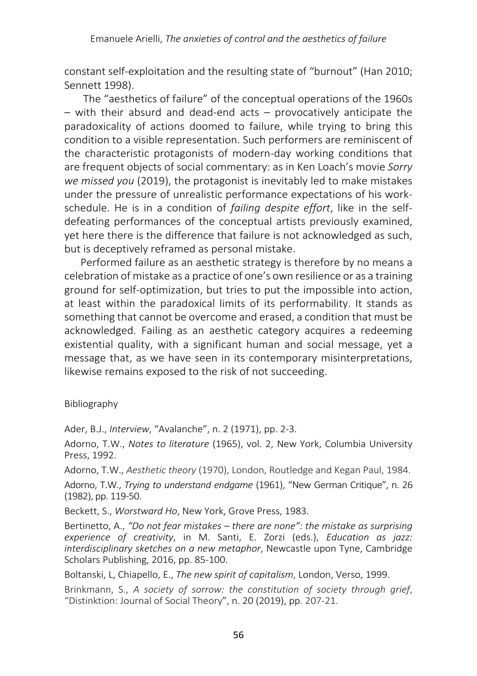constant self-exploitation and the resulting state of "burnout" (Han 2010; Sennett 1998).

The "aesthetics of failure" of the conceptual operations of the 1960s – with their absurd and dead-end acts – provocatively anticipate the paradoxicality of actions doomed to failure, while trying to bring this condition to a visible representation. Such performers are reminiscent of the characteristic protagonists of modern-day working conditions that are frequent objects of social commentary: as in Ken Loach's movie *Sorry we missed you* (2019), the protagonist is inevitably led to make mistakes under the pressure of unrealistic performance expectations of his workschedule. He is in a condition of *failing despite effort*, like in the selfdefeating performances of the conceptual artists previously examined, yet here there is the difference that failure is not acknowledged as such, but is deceptively reframed as personal mistake.

Performed failure as an aesthetic strategy is therefore by no means a celebration of mistake as a practice of one's own resilience or as a training ground for self-optimization, but tries to put the impossible into action, at least within the paradoxical limits of its performability. It stands as something that cannot be overcome and erased, a condition that must be acknowledged. Failing as an aesthetic category acquires a redeeming existential quality, with a significant human and social message, yet a message that, as we have seen in its contemporary misinterpretations, likewise remains exposed to the risk of not succeeding.

Bibliography

Ader, B.J., *Interview*, "Avalanche", n. 2 (1971), pp. 2-3.

Adorno, T.W., *Notes to literature* (1965), vol. 2, New York, Columbia University Press, 1992.

Adorno, T.W., *Aesthetic theory* (1970), London, Routledge and Kegan Paul, 1984.

Adorno, T.W., *Trying to understand endgame* (1961), "New German Critique", n. 26 (1982), pp. 119-50.

Beckett, S., *Worstward Ho*, New York, Grove Press, 1983.

Bertinetto, A., *"Do not fear mistakes – there are none": the mistake as surprising experience of creativity*, in M. Santi, E. Zorzi (eds.), *Education as jazz: interdisciplinary sketches on a new metaphor*, Newcastle upon Tyne, Cambridge Scholars Publishing, 2016, pp. 85-100.

Boltanski, L, Chiapello, E., *The new spirit of capitalism*, London, Verso, 1999.

Brinkmann, S., *A society of sorrow: the constitution of society through grief*, "Distinktion: Journal of Social Theory", n. 20 (2019), pp. 207-21.